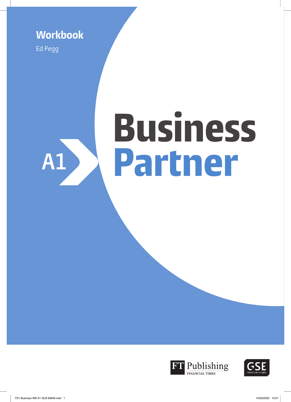**Workbook**

Ed Pegg

# **Business** Partner **A1**



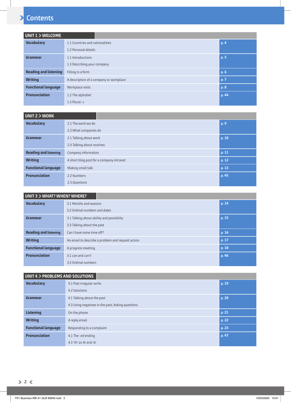## **Contents**

| UNIT 1 > WELCOME             |                                         |       |
|------------------------------|-----------------------------------------|-------|
| <b>Vocabulary</b>            | 1.1 Countries and nationalities         | p.4   |
|                              | 1.2 Personal details                    |       |
| Grammar                      | 1.1 Introductions                       | p.5   |
|                              | 1.3 Describing your company             |       |
| <b>Reading and listening</b> | Filling in a form                       | p.6   |
| <b>Writing</b>               | A description of a company or workplace | p. 7  |
| <b>Functional language</b>   | Workplace visits                        | p.8   |
| <b>Pronunciation</b>         | 1.2 The alphabet                        | p. 44 |
|                              | 1.3 Plural - $s$                        |       |

| UNIT 2 > WORK                |                                          |       |
|------------------------------|------------------------------------------|-------|
| <b>Vocabulary</b>            | 2.1 The work we do                       | p. 9  |
|                              | 2.2 What companies do                    |       |
| Grammar                      | 2.1 Talking about work                   | p. 10 |
|                              | 2.3 Talking about routines               |       |
| <b>Reading and listening</b> | Company information                      | p.11  |
| <b>Writing</b>               | A short blog post for a company intranet | p.12  |
| <b>Functional language</b>   | Making small talk                        | p. 13 |
| <b>Pronunciation</b>         | 2.2 Numbers                              | p.45  |
|                              | 2.3 Questions                            |       |

| <b>UNIT 3 &gt; WHAT? WHEN? WHERE?</b>     |                                                            |       |
|-------------------------------------------|------------------------------------------------------------|-------|
| <b>Vocabulary</b>                         | 3.1 Months and seasons                                     | p. 14 |
|                                           | 3.2 Ordinal numbers and dates                              |       |
| Grammar                                   | 3.1 Talking about ability and possibility                  | p. 15 |
|                                           | 3.3 Talking about the past                                 |       |
| <b>Reading and listening</b>              | p. 16<br>Can I have some time off?                         |       |
| <b>Writing</b>                            | An email to describe a problem and request action<br>p. 17 |       |
| <b>Functional language</b>                | p. 18<br>A progress meeting                                |       |
| <b>Pronunciation</b><br>3.1 can and can't |                                                            | p. 46 |
|                                           | 3.2 Ordinal numbers                                        |       |

| UNIT 4 > PROBLEMS AND SOLUTIONS |                                                   |       |  |  |
|---------------------------------|---------------------------------------------------|-------|--|--|
| <b>Vocabulary</b>               | 4.1 Past irregular verbs                          | p. 19 |  |  |
|                                 | 4.2 Solutions                                     |       |  |  |
| Grammar                         | 4.1 Talking about the past                        | p.20  |  |  |
|                                 | 4.3 Using negatives in the past; Asking questions |       |  |  |
| <b>Listening</b>                | On the phone                                      | p.21  |  |  |
| <b>Writing</b>                  | A reply email                                     | p.22  |  |  |
| <b>Functional language</b>      | p.23<br>Responding to a complaint                 |       |  |  |
| <b>Pronunciation</b>            | 4.1 The -ed ending                                | p.47  |  |  |
|                                 | 4.3 'th' as / $\theta$ and / $\delta$             |       |  |  |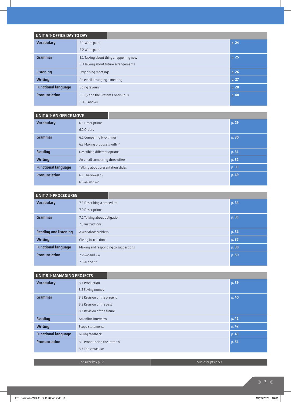| UNIT 5 > OFFICE DAY TO DAY |                                        |       |
|----------------------------|----------------------------------------|-------|
| <b>Vocabulary</b>          | 5.1 Word pairs                         | p. 24 |
|                            | 5.2 Word pairs                         |       |
| Grammar                    | 5.1 Talking about things happening now | p. 25 |
|                            | 5.3 Talking about future arrangements  |       |
| <b>Listening</b>           | Organising meetings                    | p.26  |
| <b>Writing</b>             | An email arranging a meeting           | p. 27 |
| <b>Functional language</b> | Doing favours<br>p. 28                 |       |
| <b>Pronunciation</b>       | 5.1 /n/ and the Present Continuous     | p. 48 |
|                            | 5.3 $/$ I $/$ and $/$ i: $/$           |       |

| UNIT 6 > AN OFFICE MOVE    |                                    |  |       |
|----------------------------|------------------------------------|--|-------|
| <b>Vocabulary</b>          | 6.1 Descriptions                   |  | p. 29 |
|                            | 6.2 Orders                         |  |       |
| Grammar                    | 6.1 Comparing two things           |  | p. 30 |
|                            | 6.3 Making proposals with if       |  |       |
| <b>Reading</b>             | Describing different options       |  | p.31  |
| <b>Writing</b>             | An email comparing three offers    |  | p. 32 |
| <b>Functional language</b> | Talking about presentation slides  |  | p.33  |
| <b>Pronunciation</b>       | 6.1 The vowel /a/                  |  | p. 49 |
|                            | 6.3 / $\alpha$ / and / $\Lambda$ / |  |       |

| UNIT 7 > PROCEDURES          |                                      |  |  |       |  |
|------------------------------|--------------------------------------|--|--|-------|--|
| <b>Vocabulary</b>            | 7.1 Describing a procedure           |  |  | p. 34 |  |
|                              | 7.2 Descriptions                     |  |  |       |  |
| Grammar                      | 7.1 Talking about obligation         |  |  | p. 35 |  |
|                              | 7.3 Instructions                     |  |  |       |  |
| <b>Reading and listening</b> | A workflow problem                   |  |  | p. 36 |  |
| <b>Writing</b>               | Giving instructions                  |  |  | p. 37 |  |
| <b>Functional language</b>   | Making and responding to suggestions |  |  | p. 38 |  |
| <b>Pronunciation</b>         | $7.2$ /ai/ and /ei/                  |  |  | p.50  |  |
|                              | $7.3$ /l/ and /r/                    |  |  |       |  |

#### **UNIT 8 > MANAGING PROJECTS**

| <b>Vocabulary</b>          | 8.1 Production                 | p. 39 |
|----------------------------|--------------------------------|-------|
|                            | 8.2 Saving money               |       |
| <b>Grammar</b>             | 8.1 Revision of the present    | p. 40 |
|                            | 8.2 Revision of the past       |       |
|                            | 8.3 Revision of the future     |       |
| <b>Reading</b>             | An online interview            | p. 41 |
| <b>Writing</b>             | Scope statements               | p. 42 |
| <b>Functional language</b> | Giving feedback                | p. 43 |
| <b>Pronunciation</b>       | 8.2 Pronouncing the letter 'o' | p. 51 |
|                            | 8.3 The yowel /31/             |       |
|                            |                                |       |

Answer key p.52 Audioscripts p.59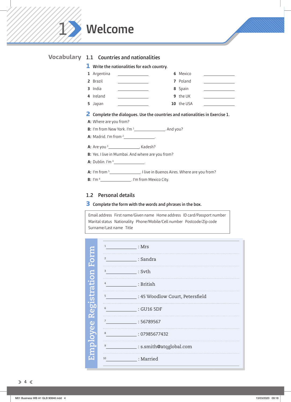

#### **1.2 Personal details**

**3 Complete the form with the words and phrases in the box.**

Email address First name/Given name Home address ID card/Passport number Marital status Nationality Phone/Mobile/Cell number Postcode/Zip code Surname/Last name Title

|             | $\mathbf{1}$   | : Mrs                              |
|-------------|----------------|------------------------------------|
| DITIO<br>O  | $\overline{2}$ | $\sqrt{2}$ : Sandra                |
|             | 3              | : Svth                             |
| egistration | 4              | : British                          |
|             | 5              | __ : 45 Woodlow Court, Petersfield |
|             | 6              | : GU16 5DF                         |
| A7          | $\overline{7}$ | :56789567                          |
|             | 8              | $\frac{1}{2}$ : 07985677432        |
| mployee     | 9              | _: s.smith@atqglobal.com           |
|             | 10             | $:$ Married                        |
|             |                |                                    |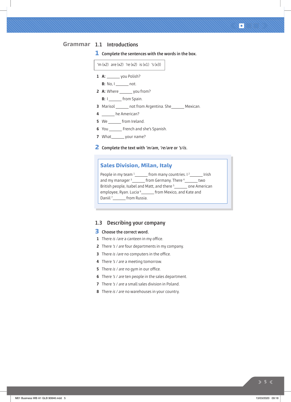#### **1.1 Introductions Grammar**

**1 Complete the sentences with the words in the box.**



- **7** What\_\_\_\_\_\_\_ your name?
- **2 Complete the text with 'm/am, 're/are or 's/is.**

#### **Sales Division, Milan, Italy**

People in my team <sup>1</sup> from many countries. I<sup>2</sup> Irish and my manager  $\frac{1}{3}$  from Germany. There  $\frac{4}{3}$  two British people, Isabel and Matt, and there <sup>5</sup> \_\_\_\_\_\_\_ one American employee, Ryan. Lucia <sup>6</sup> from Mexico, and Kate and Daniil <sup>7</sup> from Russia.

#### **1.3 Describing your company**

#### **3 Choose the correct word.**

- **1** There is /are a canteen in my office.
- **2** There 's / are four departments in my company.
- **3** There is /are no computers in the office.
- **4** There 's / are a meeting tomorrow.
- **5** There is / are no gym in our office.
- **6** There 's / are ten people in the sales department.
- **7** There 's / are a small sales division in Poland.
- **8** There is / are no warehouses in your country.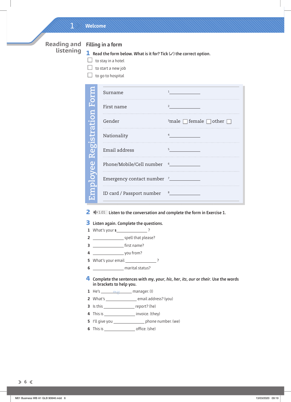### 1 **Welcome**

**Reading and listening**

### **Filling in a form**

**1 Read the form below. What is it for? Tick (**✓**) the correct option.**

- $\Box$  to stay in a hotel
- $\Box$  to start a new job
- $\Box$  to go to hospital

| ō                        | Surname                                   |                                                      |
|--------------------------|-------------------------------------------|------------------------------------------------------|
|                          | First name                                | 2                                                    |
|                          | Gender                                    | $\frac{3}{2}$ male $\Box$ female $\Box$ other $\Box$ |
|                          | Nationality                               |                                                      |
| br<br>D                  | Email address                             | 5                                                    |
| $\mathbf 0$              | Phone/Mobile/Cell number 6                |                                                      |
| $\mathsf{\widetilde{S}}$ | Emergency contact number <sup>7</sup> ___ |                                                      |
|                          | ID card / Passport number                 |                                                      |

**2** 1.01 **Listen to the conversation and complete the form in Exercise 1.**

#### **3 Listen again. Complete the questions.**

- **1** What's your **s** ?
- **2** spell that please?
- **3** rst name?
- **4** you from?
- **5** What's your email 2
- **6** marital status?

**4 Complete the sentences with my, your, his, her, its, our or their. Use the words in brackets to help you.** 

- **1** He's \_\_\_\_\_\_\_\_\_\_\_\_\_\_\_\_\_\_\_\_\_\_\_ manager. (I)
- **2** What's \_\_\_\_\_\_\_\_\_\_\_\_\_\_\_\_\_\_\_\_\_\_ email address? (you)
- **3** Is this report? (he)
- **4** This is \_\_\_\_\_\_\_\_\_\_\_\_\_\_\_\_\_\_\_\_\_ invoice. (they)
- **5** I'll give you \_\_\_\_\_\_\_\_\_\_\_\_\_\_\_\_\_\_ phone number. (we)
- **6** This is o ce. (she)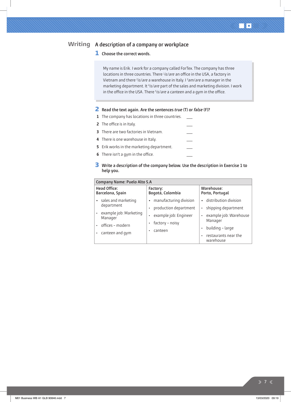#### **A description of a company or workplace Writing**

#### **1 Choose the correct words.**

My name is Erik. I work for a company called ForTex. The company has three locations in three countries. There *lis/are* an office in the USA, a factory in Vietnam and there <sup>2</sup>is/are a warehouse in Italy. I <sup>3</sup>am/are a manager in the marketing department. It <sup>4</sup>is/are part of the sales and marketing division. I work in the office in the USA. There <sup>5</sup>is/are a canteen and a gym in the office.

#### **2 Read the text again. Are the sentences true (T) or false (F)?**

- **1** The company has locations in three countries.
- **2** The office is in Italy.
- **3** There are two factories in Vietnam.  $\overline{\phantom{a}}$
- **4** There is one warehouse in Italy.  $\overline{\phantom{m}}$
- **5** Erik works in the marketing department.
- **6** There isn't a gym in the office.

#### **3 Write a description of the company below. Use the description in Exercise 1 to help you.**

 $\overline{\phantom{a}}$  $\frac{1}{1}$ 

| Company Name: Puelo Alto S.A                                       |                                                 |                                                       |  |  |  |
|--------------------------------------------------------------------|-------------------------------------------------|-------------------------------------------------------|--|--|--|
| <b>Head Office:</b><br>Barcelona, Spain                            | Factory:<br>Bogotá, Colombia                    | Warehouse:<br>Porto, Portugal                         |  |  |  |
| sales and marketing<br>$\bullet$<br>department                     | manufacturing division<br>production department | · distribution division<br>shipping department        |  |  |  |
| example job: Marketing<br>$\bullet$<br>Manager<br>offices - modern | example job: Engineer<br>factory - noisy        | example job: Warehouse<br>۰<br>Manager                |  |  |  |
| canteen and gym<br>٠                                               | canteen                                         | building - large<br>restaurants near the<br>warehouse |  |  |  |